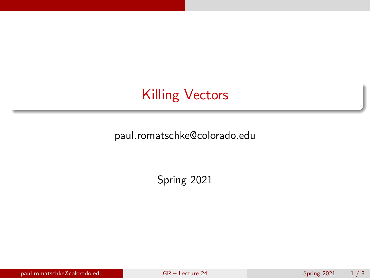<span id="page-0-0"></span>paul.romatschke@colorado.edu

Spring 2021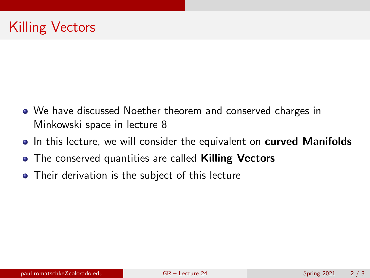- We have discussed Noether theorem and conserved charges in Minkowski space in lecture 8
- In this lecture, we will consider the equivalent on **curved Manifolds**
- The conserved quantities are called **Killing Vectors**
- Their derivation is the subject of this lecture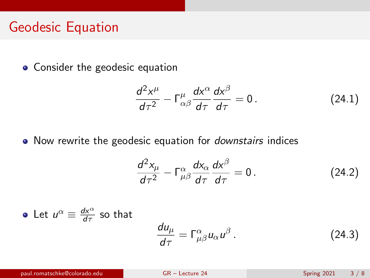#### Geodesic Equation

• Consider the geodesic equation

$$
\frac{d^2x^{\mu}}{d\tau^2} - \Gamma^{\mu}_{\alpha\beta}\frac{dx^{\alpha}}{d\tau}\frac{dx^{\beta}}{d\tau} = 0.
$$
 (24.1)

• Now rewrite the geodesic equation for *downstairs* indices

$$
\frac{d^2x_\mu}{d\tau^2} - \Gamma^\alpha_{\mu\beta}\frac{dx_\alpha}{d\tau}\frac{dx^\beta}{d\tau} = 0.
$$
 (24.2)

• Let 
$$
u^{\alpha} \equiv \frac{dx^{\alpha}}{d\tau}
$$
 so that  

$$
\frac{du_{\mu}}{d\tau} = \Gamma^{\alpha}_{\mu\beta} u_{\alpha} u^{\beta}.
$$
 (24.3)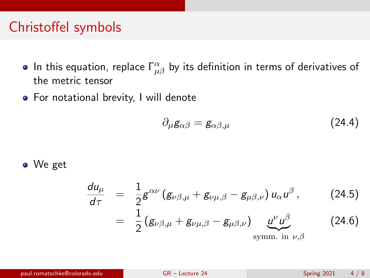#### Christoffel symbols

- In this equation, replace  $\mathsf{\Gamma}^{\alpha}_{\mu\beta}$  by its definition in terms of derivatives of the metric tensor
- **•** For notational brevity, I will denote

$$
\partial_{\mu}g_{\alpha\beta} = g_{\alpha\beta,\mu} \tag{24.4}
$$

We get

$$
\frac{du_{\mu}}{d\tau} = \frac{1}{2}g^{\alpha\nu}(g_{\nu\beta,\mu} + g_{\nu\mu,\beta} - g_{\mu\beta,\nu})u_{\alpha}u^{\beta},
$$
\n
$$
= \frac{1}{2}(g_{\nu\beta,\mu} + g_{\nu\mu,\beta} - g_{\mu\beta,\nu})\underbrace{u^{\nu}u^{\beta}}_{\text{symm. in }\nu,\beta}
$$
\n(24.6)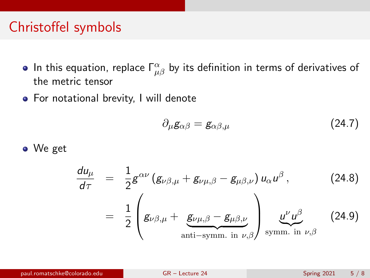### Christoffel symbols

- In this equation, replace  $\mathsf{\Gamma}^{\alpha}_{\mu\beta}$  by its definition in terms of derivatives of the metric tensor
- **•** For notational brevity, I will denote

$$
\partial_{\mu}g_{\alpha\beta} = g_{\alpha\beta,\mu} \tag{24.7}
$$

We get

$$
\frac{du_{\mu}}{d\tau} = \frac{1}{2}g^{\alpha\nu}(g_{\nu\beta,\mu} + g_{\nu\mu,\beta} - g_{\mu\beta,\nu})u_{\alpha}u^{\beta},
$$
\n
$$
= \frac{1}{2}\left(g_{\nu\beta,\mu} + g_{\nu\mu,\beta} - g_{\mu\beta,\nu}\right)_{\text{symm. in }\nu,\beta} \underline{u^{\nu}u^{\beta}}_{\text{symm. in }\nu,\beta}
$$
\n(24.9)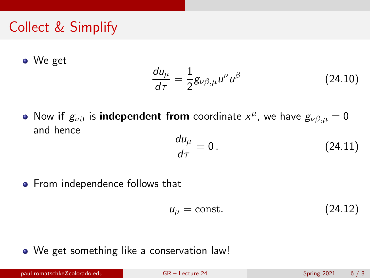### Collect & Simplify

We get

$$
\frac{du_{\mu}}{d\tau} = \frac{1}{2}g_{\nu\beta,\mu}u^{\nu}u^{\beta} \tag{24.10}
$$

Now if  $g_{\nu\beta}$  is independent from coordinate  $x^\mu$ , we have  $g_{\nu\beta,\mu}=0$ and hence

$$
\frac{du_{\mu}}{d\tau} = 0. \qquad (24.11)
$$

• From independence follows that

<span id="page-5-0"></span>
$$
u_{\mu} = \text{const.} \tag{24.12}
$$

We get something like a conservation law!

paul.romatschke@colorado.edu [GR – Lecture 24](#page-0-0) Spring 2021 6 / 8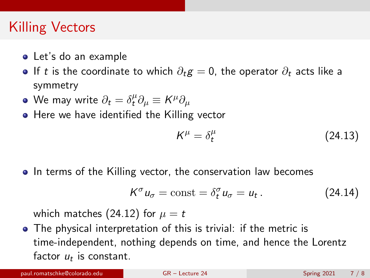- Let's do an example
- **If** t is the coordinate to which  $\partial_t g = 0$ , the operator  $\partial_t$  acts like a symmetry
- We may write  $\partial_t = \delta^\mu_t \partial_\mu \equiv K^\mu \partial_\mu$
- **•** Here we have identified the Killing vector

$$
K^{\mu} = \delta_t^{\mu} \tag{24.13}
$$

• In terms of the Killing vector, the conservation law becomes

$$
K^{\sigma} u_{\sigma} = \text{const} = \delta_t^{\sigma} u_{\sigma} = u_t. \qquad (24.14)
$$

which matches [\(24.12\)](#page-5-0) for  $\mu = t$ 

The physical interpretation of this is trivial: if the metric is time-independent, nothing depends on time, and hence the Lorentz factor  $u_t$  is constant.

paul.romatschke@colorado.edu [GR – Lecture 24](#page-0-0) Spring 2021 7 / 8